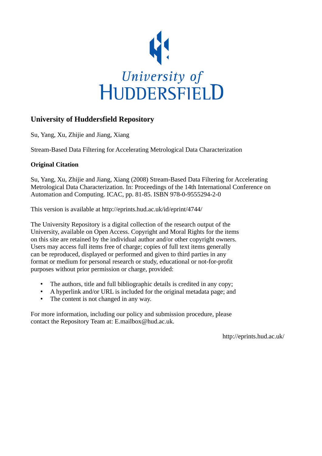

# **University of Huddersfield Repository**

Su, Yang, Xu, Zhijie and Jiang, Xiang

Stream-Based Data Filtering for Accelerating Metrological Data Characterization

# **Original Citation**

Su, Yang, Xu, Zhijie and Jiang, Xiang (2008) Stream-Based Data Filtering for Accelerating Metrological Data Characterization. In: Proceedings of the 14th International Conference on Automation and Computing. ICAC, pp. 81-85. ISBN 978-0-9555294-2-0

This version is available at http://eprints.hud.ac.uk/id/eprint/4744/

The University Repository is a digital collection of the research output of the University, available on Open Access. Copyright and Moral Rights for the items on this site are retained by the individual author and/or other copyright owners. Users may access full items free of charge; copies of full text items generally can be reproduced, displayed or performed and given to third parties in any format or medium for personal research or study, educational or not-for-profit purposes without prior permission or charge, provided:

- The authors, title and full bibliographic details is credited in any copy;
- A hyperlink and/or URL is included for the original metadata page; and
- The content is not changed in any way.

For more information, including our policy and submission procedure, please contact the Repository Team at: E.mailbox@hud.ac.uk.

http://eprints.hud.ac.uk/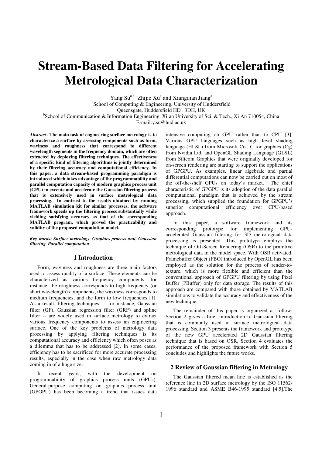# **Stream-Based Data Filtering for Accelerating Metrological Data Characterization**

Yang Su<sup>a,b</sup> Zhijie Xu<sup>a</sup> and Xiangqian Jiang<sup>a</sup>

a School of Computing & Engineering, University of Huddersfield

Queensgate, Huddersfield HD1 3DH, UK

<sup>b</sup>School of Communication & Information Engineering, Xi'an University of Sci. & Tech., Xi An 710054, China

E-mail:y.su@hud.ac.uk

*Abstract***: The main task of engineering surface metrology is to characterize a surface by assessing components such as form, waviness and roughness that correspond to different wavelength segments in the frequency domain, which are often extracted by deploying filtering techniques. The effectiveness of a specific kind of filtering algorithms is jointly determined by their filtering accuracy and computational efficiency. In this paper, a data stream-based programming paradigm is introduced which takes advantage of the programmability and parallel computation capacity of modern graphics process unit (GPU) to execute and accelerate the Gaussian filtering process that is extensively used in surface metrological data processing. In contrast to the results obtained by running MATLAB simulation kit for similar processes, the software framework speeds up the filtering process substantially while yielding satisfying accuracy as that of the corresponding MATLAB program, which proved the practicability and validity of the proposed computation model.** 

*Key words: Surface metrology, Graphics process unit, Gaussian filtering, Parallel computation* 

# **1 Introduction**

Form, waviness and roughness are three main factors used to assess quality of a surface. These elements can be characterized as various frequency components, for instance, the roughness corresponds to high frequency (or short wavelength) components, the waviness corresponds to medium frequencies, and the form to low frequencies [1]. As a result, filtering techniques, -- for instance, Gaussian filter (GF), Gaussian regression filter (GRF) and spline filter -- are widely used in surface metrology to extract various frequency components to assess an engineering surface. One of the key problems of metrology data processing by applying filtering techniques is its computational accuracy and efficiency which often poses as a dilemma that has to be addressed [2]. In some cases, efficiency has to be sacrificed for more accurate processing results, especially in the case when raw metrology data coming in of a huge size.

In recent years, with the development on programmability of graphics process units (GPUs), General-purpose computing on graphics process unit (GPGPU) has been becoming a trend that issues data intensive computing on GPU rather than to CPU [3]. Various GPU languages such as high level shading language (HLSL) from Microsoft Co., C for graphics (Cg) from Nvidia Ltd, and OpenGL Shading Language (GLSL) from Silicom Graphics that were originally developed for on-screen rendering are starting to support the applications of GPGPU. As examples, linear algebraic and partial differential computations can now be carried out on most of the off-the-shelf GPUs on today's market. The chief characteristic of GPGPU is its adoption of the data parallel computational paradigm that is achieved by the stream processing, which supplied the foundation for GPGPU's superior computational efficiency over CPU-based approach.

In this paper, a software framework and its corresponding prototype for implementing GPUaccelerated Gaussian filtering for 3D metrological data processing is presented. This prototype employs the technique of Off-Screen Rendering (OSR) to the primitive metrological data in the model space. With OSR activated, Framebuffer Object (FBO) introduced by OpenGL has been employed as the solution for the process of render-totexture, which is more flexible and efficient than the conventional approach of GPGPU filtering by using Pixel Buffer (PBuffer) only for data storage. The results of this approach are compared with those obtained by MATLAB simulations to validate the accuracy and effectiveness of the new technique.

The remainder of this paper is organized as follow: Section 2 gives a brief introduction to Gaussian filtering that is commonly used in surface metrological data processing, Section 3 presents the framework and prototype of the new GPU accelerated 2D Gaussian filtering technique that is based on OSR, Section 4 evaluates the performance of the proposed framework with Section 5 concludes and highlights the future works.

## **2 Review of Gaussian filtering in Metrology**

The Gaussian filtered mean line is established as the reference line in 2D surface metrology by the ISO 11562- 1996 standard and ASME B46-1995 standard [4,5].The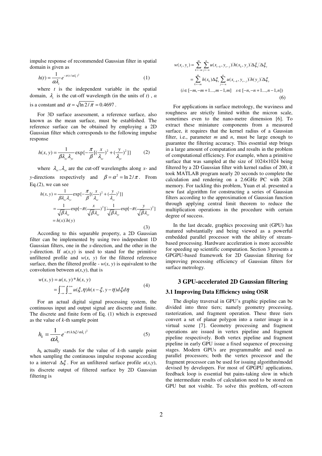impulse response of recommended Gaussian filter in spatial domain is given as

$$
h(t) = \frac{1}{\alpha \lambda_c} e^{-\pi (t/\alpha \lambda_c)^2}
$$
 (1)

where  $t$  is the independent variable in the spatial domain,  $\lambda_c$  is the cut-off wavelength (in the units of *t*),  $\alpha$ is a constant and  $\alpha = \sqrt{\ln 2 / \pi} = 0.4697$ .

For 3D surface assessment, a reference surface, also known as the mean surface, must be established. The reference surface can be obtained by employing a 2D Gaussian filter which corresponds to the following impulse response

$$
h(x, y) = \frac{1}{\beta \lambda_{xc} \lambda_{yc}} \exp\left\{-\frac{\pi}{\beta} [(\frac{x}{\lambda_{xc}})^2 + (\frac{y}{\lambda_{yc}})^2] \right\}
$$
 (2)

where  $\lambda_{\rm xc}, \lambda_{\rm yc}$  are the cut-off wavelengths along *x*- and *y*-directions respectively and  $\beta = \alpha^2 = \ln 2/\pi$ . From Eq.(2), we can see

$$
h(x, y) = \frac{1}{\beta \lambda_{xc} \lambda_{yc}} \exp\left\{-\frac{\pi}{\beta} [(\frac{x}{\lambda_{xc}})^2 + (\frac{y}{\lambda_{yc}})^2] \right\}
$$
  

$$
= \frac{1}{\sqrt{\beta} \lambda_{xc}} \exp\left[-\pi (\frac{x}{\sqrt{\beta} \lambda_{xc}})^2] \frac{1}{\sqrt{\beta} \lambda_{yc}} \exp\left[-\pi (\frac{y}{\sqrt{\beta} \lambda_{yc}})^2 \right]
$$
  

$$
= h(x) h(y)
$$
 (3)

According to this separable property, a 2D Gaussian filter can be implemented by using two independent 1D Gaussian filters, one in the *x*-direction, and the other in the *y*-direction. If  $u(x,y)$  is used to stand for the primitive unfiltered profile and  $w(x, y)$  for the filtered reference surface, then the filtered profile -  $w(x, y)$  is equivalent to the convolution between  $u(x, y)$ , that is

$$
w(x, y) = u(x, y) * h(x, y)
$$
  
=  $\int_{-\infty}^{+\infty} \int_{-\infty}^{+\infty} u(\xi, \eta) h(x - \xi, y - \eta) d\xi d\eta$  (4)

For an actual digital signal processing system, the continuous input and output signal are discrete and finite. The discrete and finite form of Eq. (1) which is expressed as the value of *k*-th sample point

$$
h_k = \frac{1}{\alpha \lambda_c} e^{-\pi (k \Delta \xi / \alpha \lambda_c)^2}
$$
 (5)

 $h_k$  actually stands for the value of  $k$ -th sample point when sampling the continuous impulse response according to a interval  $\Delta \xi$ . For an unfiltered surface profile  $u(x,y)$ , its discrete output of filtered surface by 2D Gaussian filtering is

$$
w(x_i, y_s) = \sum_{k=-m}^{m} \sum_{j=-n}^{n} u(x_{i-k}, y_{s-j}) h(x_k, y_j) \Delta \xi_x \Delta \xi_y
$$
  
= 
$$
\sum_{k=-m}^{m} h(x_k) \Delta \xi_x \sum_{j=-n}^{n} u(x_{i-k}, y_{s-j}) h(y_j) \Delta \xi_y
$$
  
(*i*  $\in [-m, -m+1..., m-1, m]$   $s \in [-n, -n+1..., n-1, n]$ ) (6)

For applications in surface metrology, the waviness and roughness are strictly limited within the micron scale, sometimes even to the nano-metre dimension [6]. To extract these miniature components from a measured surface, it requires that the kernel radius of a Gaussian filter, i.e., parameter *m* and *n*, must be large enough to guarantee the filtering accuracy. This essential step brings in a large amount of computation and results in the problem of computational efficiency. For example, when a primitive surface that was sampled at the size of 1024×1024 being filtered by a 2D Gaussian filter with kernel radius of 200, it took MATLAB program nearly 20 seconds to complete the calculation and rendering on a 2.6GHz PC with 2GB memory. For tackling this problem, Yuan et al. presented a new fast algorithm for constructing a series of Gaussian filters according to the approximation of Gaussian function through applying central limit theorem to reduce the multiplication operations in the procedure with certain degree of success.

In the last decade, graphics processing unit (GPU) has matured substantially and being viewed as a powerful embedded parallel processor with the ability of streambased processing. Hardware acceleration is more accessible for speeding up scientific computation. Section 3 presents a GPGPU-based framework for 2D Gaussian filtering for improving processing efficiency of Gaussian filters for surface metrology.

# **3 GPU-accelerated 2D Gaussian filtering**

#### **3.1 Improving Data Efficiency using OSR**

The display traversal in GPU's graphic pipeline can be divided into three tiers; namely geometry processing, rasterization, and fragment operation. These three tiers convert a set of planar polygon into a raster image in a virtual scene [7]. Geometry processing and fragment operations are issued in vertex pipeline and fragment pipeline respectively. Both vertex pipeline and fragment pipeline in early GPU issue a fixed sequence of processing stages. Modern GPUs are programmable and used as parallel processors; both the vertex processor and the fragment processor can be used for issuing algorithm/model devised by developers. For most of GPGPU applications, feedback loop is essential but pains-taking slow in which the intermediate results of calculation need to be stored on GPU but not visible. To solve this problem, off-screen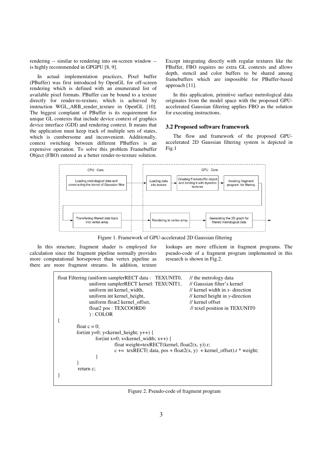rendering -- similar to rendering into on-screen window - is highly recommended in GPGPU [8, 9].

In actual implementation practices, Pixel buffer (PBuffer) was first introduced by OpenGL for off-screen rendering which is defined with an enumerated list of available pixel formats. PBuffer can be bound to a texture directly for render-to-texture, which is achieved by instruction WGL\_ARB\_render\_texture in OpenGL [10]. The biggest complaint of PBuffer is its requirement for unique GL contexts that include device context of graphics device interface (GDI) and rendering context. It means that the application must keep track of multiple sets of states, which is cumbersome and inconvenient. Additionally, context switching between different PBuffers is an expensive operation. To solve this problem Framebuffer Object (FBO) entered as a better render-to-texture solution.

Except integrating directly with regular textures like the PBuffer, FBO requires no extra GL contexts and allows depth, stencil and color buffers to be shared among framebuffers which are impossible for PBuffer-based approach [11].

In this application, primitive surface metrological data originates from the model space with the proposed GPUaccelerated Gaussian filtering applies FBO as the solution for executing instructions.

## **3.2 Proposed software framework**

The flow and framework of the proposed GPUaccelerated 2D Gaussian filtering system is depicted in Fig.1



Figure 1. Framework of GPU-accelerated 2D Gaussian filtering

In this structure, fragment shader is employed for calculation since the fragment pipeline normally provides more computational horsepower than vertex pipeline as there are more fragment streams. In addition, texture lookups are more efficient in fragment programs. The pseudo-code of a fragment program implemented in this research is shown in Fig.2.

```
float Filtering (uniform samplerRECT data : TEXUNITO, // the metrology data
            uniform samplerRECT kernel: TEXUNIT1, // Gaussian filter's kernel
            uniform int kernel width, \frac{1}{\pi} // kernel width in x- direction
            uniform int kernel height, // kernel height in y-direction
            uniform float2 kernel_offset, // kernel offset
            float2 pos : TEXCOORD0 // texel position in TEXUNIT0
             ) : COLOR 
{ 
       float c = 0;
       for(int y=0; y<kernel_height; y++) {
               for(int x=0; x<kernel_width; x++) {
                        float weight=texRECT(kernel, float2(x, y)).r; 
                       c += texRECT( data, pos + float2(x, y) + kernel_offset).r * weight;
 } 
 } 
         return c; 
}
```
Figure 2. Pseudo-code of fragment program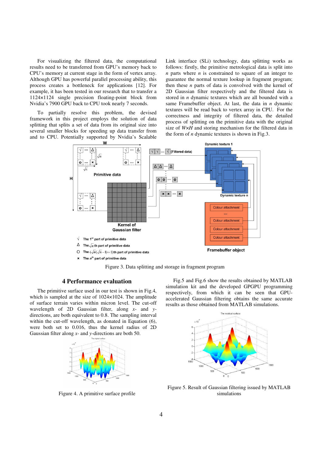For visualizing the filtered data, the computational results need to be transferred from GPU's memory back to CPU's memory at current stage in the form of vertex array. Although GPU has powerful parallel processing ability, this process creates a bottleneck for applications [12]. For example, it has been tested in our research that to transfer a 1124×1124 single precision floating-point block from Nvidia's 7900 GPU back to CPU took nearly 7 seconds.

To partially resolve this problem, the devised framework in this project employs the solution of data splitting that splits a set of data from its original size into several smaller blocks for speeding up data transfer from and to CPU. Potentially supported by Nvidia's Scalable Link interface (SLi) technology, data splitting works as follows: firstly, the primitive metrological data is split into *n* parts where *n* is constrained to square of an integer to guarantee the normal texture lookup in fragment program; then these *n* parts of data is convolved with the kernel of 2D Gaussian filter respectively and the filtered data is stored in *n* dynamic textures which are all bounded with a same Framebuffer object. At last, the data in *n* dynamic textures will be read back to vertex array in CPU. For the correctness and integrity of filtered data, the detailed process of splitting on the primitive data with the original size of *W×H* and storing mechanism for the filtered data in the form of *n* dynamic textures is shown in Fig.3.



Figure 3. Data splitting and storage in fragment program

# **4 Performance evaluation**

The primitive surface used in our test is shown in Fig.4, which is sampled at the size of 1024×1024. The amplitude of surface terrain varies within micron level. The cut-off wavelength of 2D Gaussian filter, along *x*- and *y*directions, are both equivalent to 0.8. The sampling interval within the cut-off wavelength, as donated in Equation (6), were both set to 0.016, thus the kernel radius of 2D Gaussian filter along *x*- and *y*-directions are both 50.



Figure 4. A primitive surface profile

Fig.5 and Fig.6 show the results obtained by MATLAB simulation kit and the developed GPGPU programming respectively, from which it can be seen that GPUaccelerated Gaussian filtering obtains the same accurate results as those obtained from MATLAB simulations.



Figure 5. Result of Gaussian filtering issued by MATLAB simulations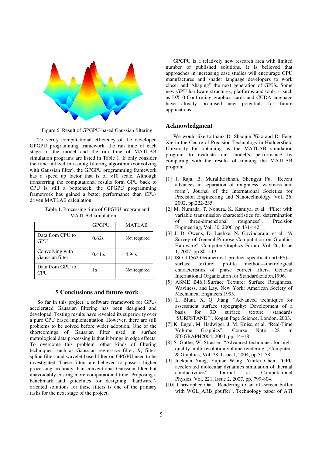

Figure 6. Result of GPGPU-based Gaussian filtering

To verify computational efficiency of the developed GPGPU programming framework, the run time of each stage of the model and the run time of MATLAB simulation programs are listed in Table 1. If only consider the time utilized in issuing filtering algorithm (convolving with Gaussian filter), the GPGPU programming framework has a speed up factor that is of  $\times 10$  scale. Although transferring the computational results form GPU back to CPU is still a bottleneck, the GPGPU programming framework has gained a better performance than CPUdriven MATLAB calculation.

Table 1. Processing time of GPGPU program and MATLAB simulation

|                                    | <b>GPGPU</b> | MATLAB       |
|------------------------------------|--------------|--------------|
| Data from CPU to<br><b>GPU</b>     | 0.62s        | Not required |
| Convolving with<br>Gaussian filter | 0.41 s       | 4.94s        |
| Data from GPU to<br>CPU            | 1s           | Not required |

### **5 Conclusions and future work**

So far in this project, a software framework for GPUaccelerated Gaussian filtering has been designed and developed. Testing results have revealed its superiority over a pure CPU based implementation. However, there are still problems to be solved before wider adoption. One of the shortcomings of Gaussian filter used in surface metrological data processing is that it brings in edge effects. To overcome this problem, other kinds of filtering techniques, such as Gaussian regressive filter,  $R_k$  filter, spline filter, and wavelet-based filter on GPGPU need to be investigated. These filters are believed to possess higher processing accuracy than conventional Gaussian filter but unavoidably costing more computational time. Proposing a benchmark and guidelines for designing "hardware" oriented solutions for these filters is one of the primary tasks for the next stage of the project.

GPGPU is a relatively new research area with limited number of published solutions. It is believed that approaches in increasing case studies will encourage GPU manufactures and shader language developers to work closer and "shaping" the next generation of GPUs. Some new GPU hardware structures, platforms and tools -- such as DX10-Confirming graphics cards and CUDA language have already promised new potentials for future applications.

#### **Acknowledgment**

We would like to thank Dr Shaojun Xiao and Dr Feng Xie in the Centre of Precision Technology in Huddersfield University for obtaining us the MATLAB simulation program to evaluate our model's performance by comparing with the results of running the MATLAB program.

- [1] J. Raja, B. Muralikrishnan, Shengyu Fu. "Recent advances in separation of roughness, waviness and form", Journal of the International Societies for Precision Engineering and Nanotechnology, Vol. 26, 2002, pp.222-235.
- [2] M. Numada, T. Nonura, K. Kamiya, et al. "Filter with variable transmission characteristics for determination<br>of three-dimensional roughness", Precision of three-dimensional roughness", Precision Engineering, Vol. 30, 2006, pp.431-442.
- [3] J. D. Owens, D. Luebke, N. Govindaraju, et al. "A Survey of General-Purpose Computation on Graphics Hardware", Computer Graphics Forum, Vol. 26, Issue 1, 2007, pp.80 -113.
- [4] ISO 11562:Geometrical product specification(GPS) surface texture: profile method—metrological characteristics of phase correct filters. Geneva: International Organization for Standardization,1996.
- [5] ASME B46.1:Surface Texture: Surface Roughness, Waviness, and Lay. New York: American Society of Mechanical Engineers,1995.
- [6] L. Blunt, X. Q. Jiang. "Advanced techniques for assessment surface topography: Development of a basis for 3D surface texture standards 'SURFSTAND'", Kogan Page Science, London, 2003.
- [7] K. Engel, M. Hadwiger, J. M. Kniss, et al. "Real-Time Volume Graphics", Course Note 28 in SIGGRAPH2004, 2004, pp. 14~18.
- [8] S. Guthe, W. Strasser. "Advanced techniques for highquality multi-resolution volume rendering", Computers & Graphics, Vol. 28, Issue 1, 2004, pp.51-58.
- [9] Juekuan Yang, Yujuan Wang, Yunfei Chen. "GPU accelerated molecular dynamics simulation of thermal conductivities", Journal of Computational Physics, Vol. 221, Issue 2, 2007, pp. 799-804.
- [10] Christopher Oat. "Rendering to an off-screen buffer with WGL\_ARB\_pbuffer", Technology paper of ATI